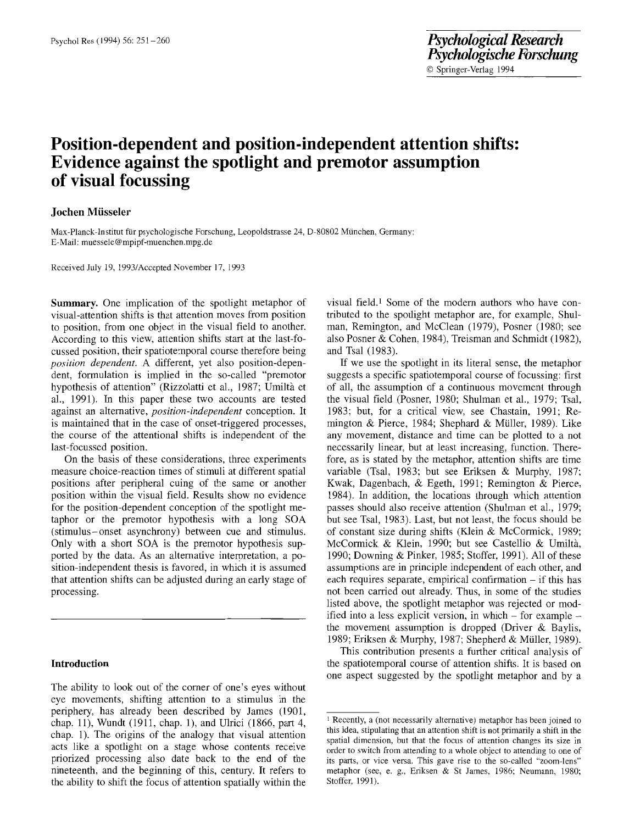# **Position-dependent and position-independent attention shifts: Evidence against the spotlight and premotor assumption of visual focussing**

## **Jochen Miisseler**

Max-Planck-Institut für psychologische Forschung, Leopoldstrasse 24, D-80802 München, Germany; E-Mail: muessele @ mpipf-muenchen.mpg.de

Received July 19, 1993/Accepted November 17, 1993

**Summary.** One implication of the spotlight metaphor of visual-attention shifts is that attention moves from position to position, from one object in the visual field to another. According to this view, attention shifts start at the last-focussed position, their spatiotemporal course therefore being *position dependent.* A different, yet also position-dependent, formulation is implied in the so-called "premotor hypothesis of attention" (Rizzolatti et al., 1987; Umiltà et al., 1991). In this paper these two accounts are tested against an alternative, *position-independent* conception. It is maintained that in the case of onset-triggered processes, the course of the attentional shifts is independent of the last-focussed position.

On the basis of these considerations, three experiments measure choice-reaction times of stimuli at different spatial positions after peripheral cuing of the same or another position within the visual field. Results show no evidence for the position-dependent conception of the spotlight metaphor or the premotor hypothesis with a long SOA (stimulus-onset asynchrony) between cue and stimulus. Only with a short SOA is the premotor hypothesis supported by the data. As an alternative interpretation, a position-independent thesis is favored, in which it is assumed that attention shifts can be adjusted during an early stage of processing.

## **Introduction**

The ability to look out of the corner of one's eyes without eye movements, shifting attention to a stimulus in the periphery, has already been described by James (1901, chap. 11), Wundt (1911, chap. 1), and Ulrici (1866, part 4, chap. 1). The origins of the analogy that visual attention acts like a spotlight on a stage whose contents receive priorized processing also date back to the end of the nineteenth, and the beginning of this, century. It refers to the ability to shift the focus of attention spatially within the visual field.<sup>1</sup> Some of the modern authors who have contributed to the spotlight metaphor are, for example, Shulman, Remington, and McClean (1979), Posner (1980; see also Posner & Cohen, 1984), Treisman and Schmidt (1982), and Tsal (1983).

If we use the spotlight in its literal sense, the metaphor suggests a specific spatiotemporal course of focussing: first of all, the assumption of a continuous movement through the visual field (Posner, 1980; Shulman et al., 1979; Tsal, 1983; but, for a critical view, see Chastain, 1991; Remington & Pierce, 1984; Shephard & Müller, 1989). Like any movement, distance and time can be plotted to a not necessarily linear, but at least increasing, function. Therefore, as is stated by the metaphor, attention shifts are time variable (Tsal, 1983; but see Eriksen & Murphy, 1987; Kwak, Dagenbach, & Egeth, 1991; Remington & Pierce, 1984). In addition, the locations through which attention passes should also receive attention (Shulman et al., 1979; but see Tsal, 1983). Last, but not least, the focus should be of constant size during shifts (Klein & McCormick, 1989; McCormick & Klein, 1990; but see Castellio & Umiltà, 1990; Downing & Pinker, 1985; Stoffer, 1991). All of these assumptions are in principle independent of each other, and each requires separate, empirical confirmation  $-$  if this has not been carried out already. Thus, in some of the studies listed above, the spotlight metaphor was rejected or modified into a less explicit version, in which  $-$  for example  $$ the movement assumption is dropped (Driver  $\&$  Baylis, 1989; Eriksen & Murphy, 1987; Shepherd & Müller, 1989).

This contribution presents a further critical analysis of the spatiotemporal course of attention shifts. It is based on one aspect suggested by the spotlight metaphor and by a

<sup>1</sup> Recently, a (not necessarily alternative) metaphor has been joined to this idea, stipulating that an attention shift is not primarily a shift in the spatial dimension, but that the focus of attention changes its size in order to switch from attending to a whole object to attending to one of its parts, or vice versa. This gave rise to the so-called "zoom-lens" metaphor (see, e. g., Eriksen & St James, 1986; Neumann, 1980; Stoffer, 1991).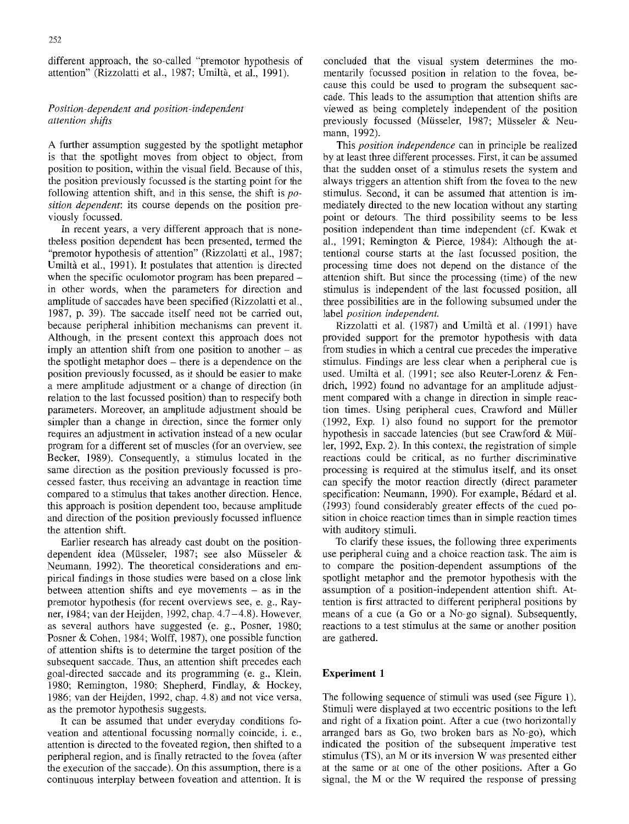different approach, the so-called "premotor hypothesis of attention" (Rizzolatti et al., 1987; Umiltà, et al., 1991).

## *Position-dependent and position-independent attention shifts*

A further assumption suggested by the spotlight metaphor is that the spotlight moves from object to object, from position to position, within the visual field. Because of this, the position previously focussed is the starting point for the following attention shift, and in this sense, the shift is *position dependent:* its course depends on the position previously focussed.

In recent years, a very different approach that is nonetheless position dependent has been presented, termed the "premotor hypothesis of attention" (Rizzolatti et al., 1987; Umiltà et al., 1991). It postulates that attention is directed when the specific oculomotor program has been prepared in other words, when the parameters for direction and amplitude of saccades have been specified (Rizzolatti et al., 1987, p. 39). The saccade itself need not be carried out, because peripheral inhibition mechanisms can prevent it. Although, in the present context this approach does not imply an attention shift from one position to another  $-$  as the spotlight metaphor does – there is a dependence on the position previously focussed, as it should be easier to make a mere amplitude adjustment or a change of direction (in relation to the last focussed position) than to respecify both parameters. Moreover, an amplitude adjustment should be simpler than a change in direction, since the former only requires an adjustment in activation instead of a new ocular program for a different set of muscles (for an overview, see Becker, 1989). Consequently, a stimulus located in the same direction as the position previously focussed is processed faster, thus receiving an advantage in reaction time compared to a stimulus that takes another direction. Hence, this approach is position dependent too, because amplitude and direction of the position previously focussed influence the attention shift.

Earlier research has already cast doubt on the positiondependent idea (Müsseler, 1987; see also Müsseler & Neumann, 1992). The theoretical considerations and empirical findings in those studies were based on a close link between attention shifts and eye movements  $-$  as in the premotor hypothesis (for recent overviews see, e. g., Rayner, 1984; van der Heijden, 1992, chap. 4.7-4.8). However, as several authors have suggested (e. g., Posner, 1980; Posner & Cohen, 1984; Wolff, 1987), one possible function of attention shifts is to determine the target position of the subsequent saccade. Thus, an attention shift precedes each goal-directed saccade and its programming (e. g., Klein, 1980; Remington, 1980; Shepherd, Findlay, & Hockey, 1986; van der Heijden, 1992, chap. 4.8) and not vice versa, as the premotor hypothesis suggests.

It can be assumed that under everyday conditions foveation and attentional focussing normally coincide, i. e., attention is directed to the foveated region, then shifted to a peripheral region, and is finally retracted to the fovea (after the execution of the saccade). On this assumption, there is a continuous interplay between foveation and attention. It is concluded that the visual system determines the momentarily focussed position in relation to the fovea, because this could be used to program the subsequent saccade. This leads to the assumption that attention shifts are viewed as being completely independent of the position previously focussed (Müsseler, 1987; Müsseler & Neumann, 1992).

This *position independence* can in principle be realized by at least three different processes. First, it can be assumed that the sudden onset of a stimulus resets the system and always triggers an attention shift from the fovea to the new stimulus. Second, it can be assumed that attention is immediately directed to the new location without any starting point or detours. The third possibility seems to be less position independent than time independent (cf. Kwak et al., 1991; Remington & Pierce, 1984): Although the attentional course starts at the last focussed position, the processing time does not depend on the distance of the attention shift. But since the processing (time) of the new stimulus is independent of the last focussed position, all three possibilities are in the following subsumed under the label *position independent.* 

Rizzolatti et al. (1987) and Umiltà et al. (1991) have provided support for the premotor hypothesis with data from studies in which a central cue precedes the imperative stimulus. Findings are less clear when a peripheral cue is used. Umiltà et al. (1991; see also Reuter-Lorenz & Fendrich, 1992) found no advantage for an amplitude adjustment compared with a change in direction in simple reaction times. Using peripheral cues, Crawford and Müller (1992, Exp. 1) also found no support for the premotor hypothesis in saccade latencies (but see Crawford & Müller, 1992, Exp. 2). In this context, the registration of simple reactions could be critical, as no further discriminative processing is required at the stimulus itself, and its onset can specify the motor reaction directly (direct parameter specification: Neumann, 1990). For example, Bédard et al. (1993) found considerably greater effects of the cued position in choice reaction times than in simple reaction times with auditory stimuli.

To clarify these issues, the following three experiments use peripheral cuing and a choice reaction task. The aim is to compare the position-dependent assumptions of the spotlight metaphor and the premotor hypothesis with the assumption of a position-independent attention shift. Attention is first attracted to different peripheral positions by means of a cue (a Go or a No-go signal). Subsequently, reactions to a test stimulus at the same or another position are gathered.

## **Experiment 1**

The following sequence of stimuli was used (see Figure 1). Stimuli were displayed at two eccentric positions to the left and right of a fixation point. After a cue (two horizontally arranged bars as Go, two broken bars as No-go), which indicated the position of the subsequent imperative test stimulus (TS), an M or its inversion W was presented either at the same or at one of the other positions. After a Go signal, the M or the W required the response of pressing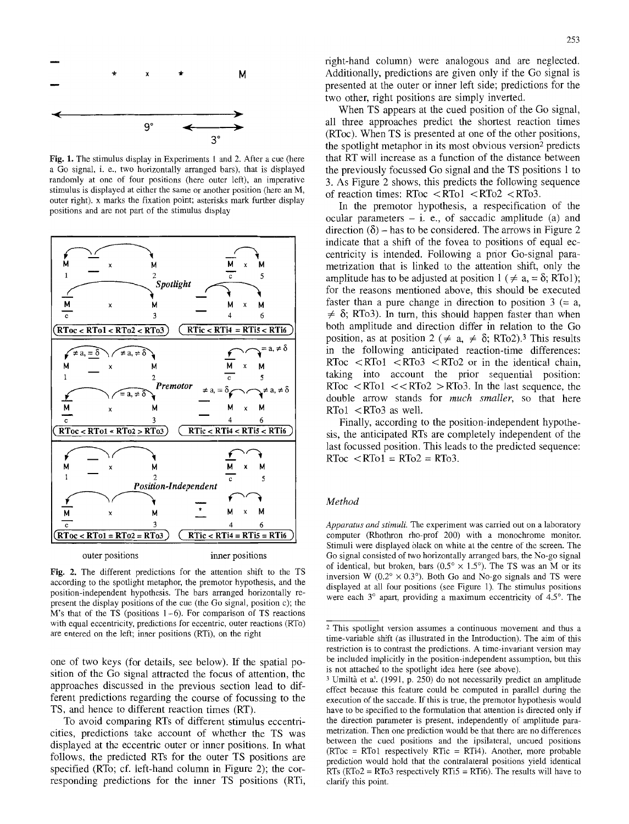

Fig. 1. The stimulus display in Experiments 1 and 2. After a cue (here a Go signal, i. e., two horizontally arranged bars), that is displayed randomly at one of four positions (here outer left), an imperative stimulus is displayed at either the same or another position (here an M, outer right), x marks the fixation point; asterisks mark further display positions and are not part of the stimulus display



Fig. 2. The different predictions for the attention shift to the TS according to the spotlight metaphor, the premotor hypothesis, and the position-independent hypothesis. The bars arranged horizontally represent the display positions of the cue (the Go signal, position c); the  $M$ 's that of the TS (positions  $1-6$ ). For comparison of TS reactions with equal eccentricity, predictions for eccentric, outer reactions (RTo) are entered on the left; inner positions (RTi), on the right

one of two keys (for details, see below). If the spatial position of the Go signal attracted the focus of attention, the approaches discussed in the previous section lead to different predictions regarding the course of focussing to the TS, and hence to different reaction times (RT).

To avoid comparing RTs of different stimulus eccentricities, predictions take account of whether the TS was displayed at the eccentric outer or inner positions. In what follows, the predicted RTs for the outer TS positions are specified (RTo; cf. left-hand column in Figure 2); the corresponding predictions for the inner TS positions (RTi, right-hand column) were analogous and are neglected. Additionally, predictions are given only if the Go signal is presented at the outer or inner left side; predictions for the two other, right positions are simply inverted.

When TS appears at the cued position of the Go signal, all three approaches predict the shortest reaction times (RToc). When TS is presented at one of the other positions, the spotlight metaphor in its most obvious version<sup>2</sup> predicts that RT will increase as a function of the distance between the previously focussed Go signal and the TS positions 1 to 3. As Figure 2 shows, this predicts the following sequence of reaction times: RToc <RTol <RTo2 <RTo3.

In the premotor hypothesis, a respecification of the ocular parameters  $-$  i. e., of saccadic amplitude (a) and direction  $(\delta)$  – has to be considered. The arrows in Figure 2 indicate that a shift of the fovea to positions of equal eccentricity is intended. Following a prior Go-signal parametrization that is linked to the attention shift, only the amplitude has to be adjusted at position  $1 \ (\neq a, = \delta; RT_0)$ ; for the reasons mentioned above, this should be executed faster than a pure change in direction to position  $3 (= a, a)$  $\neq \delta$ ; RTo3). In turn, this should happen faster than when both amplitude and direction differ in relation to the Go position, as at position 2 ( $\neq$  a,  $\neq$   $\delta$ ; RTo2).<sup>3</sup> This results in the following anticipated reaction-time differences: RToc  $\langle$  RTo1  $\langle$  RTo3  $\langle$  RTo2 or in the identical chain, taking into account the prior sequential position: RToc  $\langle$  RTo1  $\langle$   $\langle$  RTo2  $\rangle$  RTo3. In the last sequence, the double arrow stands for *much smaller,* so that here  $RTo1 < RTo3$  as well.

Finally, according to the position-independent hypothesis, the anticipated RTs are completely independent of the last focussed position. This leads to the predicted sequence:  $RToc < RTol = RTo2 = RTo3$ .

#### *Method*

*Apparatus and stimuli.* The experiment was carried out on a laboratory computer (Rhothron rho-prof 200) with a monochrome monitor. Stimuli were displayed black on white at the centre of the screen. The Go signal consisted of two horizontally arranged bars, the No-go signal of identical, but broken, bars ( $0.5^{\circ} \times 1.5^{\circ}$ ). The TS was an M or its inversion W ( $0.2^{\circ} \times 0.3^{\circ}$ ). Both Go and No-go signals and TS were displayed at all four positions (see Figure 1). The stimulus positions were each  $3^\circ$  apart, providing a maximum eccentricity of  $4.5^\circ$ . The

<sup>2</sup> This spotlight version assumes a continuous movement and thus a time-variable shift (as illustrated in the Introduction). The aim of this restriction is to contrast the predictions. A time-invariant version may be included implicitly in the position-independent assumption, but this is not attached to the spotlight idea here (see above).

 $3$  Umiltà et al. (1991, p. 250) do not necessarily predict an amplitude effect because this feature could be computed in parallel during the execution of the saccade. If this is true, the premotor hypothesis would have to be specified to the formulation that attention is directed only if the direction parameter is present, independently of amplitude parametrization. Then one prediction would be that there are no differences between the cued positions and the ipsilateral, uncued positions  $(RToc = RTol$  respectively RTic = RTi4). Another, more probable prediction would hold that the contralateral positions yield identical RTs (RTo2 = RTo3 respectively RTi5 = RTi6). The results will have to clarify this point.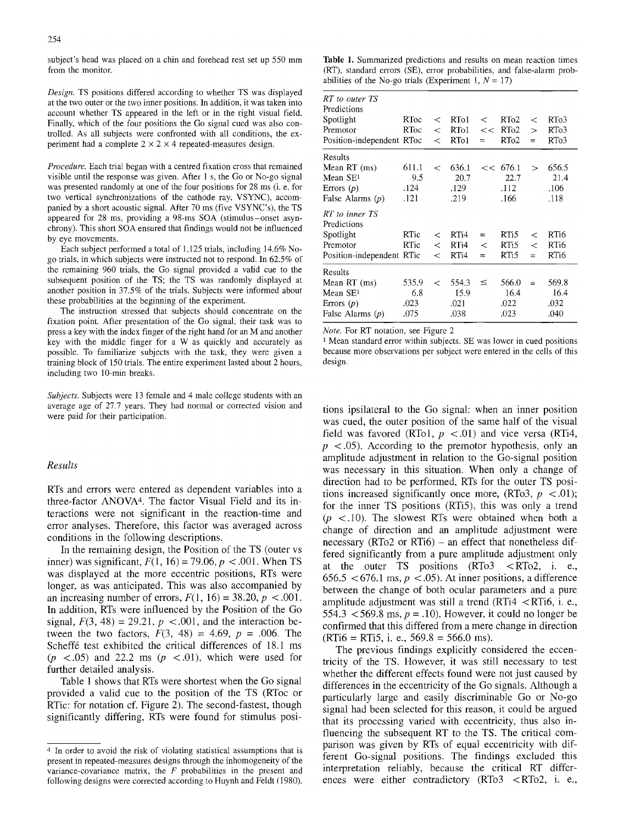subject's head was placed on a chin and forehead rest set up 550 mm from the monitor.

*Design.* TS positions differed according to whether TS was dispIayed at the two outer or the two inner positions. In addition, it was taken into account whether TS appeared in the left or in the right visual field. Finally, which of the four positions the Go signal cued was also controlled. As all subjects were confronted with all conditions, the experiment had a complete  $2 \times 2 \times 4$  repeated-measures design.

*Procedure.* Each trial began with a centred fixation cross that remained visible until the response was given. After 1 s, the Go or No-go signal was presented randomly at one of the four positions for 28 ms (i. e. for two vertical synchronizations of the cathode ray, VSYNC), accompanied by a short acoustic signal. After 70 ms (five VSYNC's), the TS appeared for 28 ms, providing a 98-ms SOA (stimulus-onset asynchrony). This short SOA ensured that findings would not be influenced by eye movements.

Each subject performed a total of 1,125 trials, including 14.6% Nogo trials, in which subjects were instructed not to respond. In 62.5% of the remaining 960 trials, the Go signal provided a valid cue to the subsequent position of the TS; the TS was randomly displayed at another position in 37.5% of the trials. Subjects were informed about these probabilities at the beginning of the experiment.

The instruction stressed that subjects should concentrate on the fixation point. After presentation of the Go signal, their task was to press a key with the index finger of the right hand for an M and another key with the middle finger for a W as quickly and accurately as possible. To familiarize subjects with the task, they were given a training block of 150 trials. The entire experiment lasted about 2 hours, including two 10-min breaks.

*Subjects.* Subjects were 13 female and 4 male college students with an average age of 27.7 years. They had normal or corrected vision and were paid for their participation.

## $Results$

RTs and errors were entered as dependent variables into a three-factor ANOVA<sup>4</sup>. The factor Visual Field and its interactions were not significant in the reaction-time and error analyses. Therefore, this factor was averaged across conditions in the following descriptions.

In the remaining design, the Position of the TS (outer vs inner) was significant,  $F(1, 16) = 79.06$ ,  $p < .001$ . When TS was displayed at the more eccentric positions, RTs were longer, as was anticipated. This was also accompanied by an increasing number of errors,  $F(1, 16) = 38.20$ ,  $p < .001$ . In addition, RTs were influenced by the Position of the Go signal,  $F(3, 48) = 29.21$ ,  $p < .001$ , and the interaction between the two factors,  $F(3, 48) = 4.69$ ,  $p = .006$ . The Scheffé test exhibited the critical differences of 18.1 ms  $(p \lt 0.05)$  and 22.2 ms  $(p \lt 0.01)$ , which were used for further detailed analysis.

Table 1 shows that RTs were shortest when the Go signal provided a valid cue to the position of the TS (RToc or RTic: for notation cf. Figure 2). The second-fastest, though significantly differing, RTs were found for stimulus posi-

Table 1. Summarized predictions and results on mean reaction times (RT), standard errors (SE), error probabilities, and false-alarm probabilities of the No-go trials (Experiment 1,  $N = 17$ )

| RT to outer TS<br>Predictions<br>Spotlight<br>Premotor<br>Position-independent RToc   | RToc<br>RToc                 | $\,<\,$<br><<br>$\,<\,$     | RT <sub>01</sub><br>RTo1<br>RTo1                          | $\,<$<br><<<br>$=$    | RT <sub>o</sub> 2<br>RT <sub>o</sub> 2<br>RTo2 | $\,<\,$<br>$\geq$<br>$=$  | RT <sub>0</sub> 3<br>RT <sub>0</sub> 3<br>RT <sub>0</sub> 3 |
|---------------------------------------------------------------------------------------|------------------------------|-----------------------------|-----------------------------------------------------------|-----------------------|------------------------------------------------|---------------------------|-------------------------------------------------------------|
| Results<br>Mean RT (ms)<br>Mean $SE1$<br>Errors $(p)$<br>False Alarms $(p)$           | 611.1<br>9.5<br>.124<br>.121 | $\,<\,$                     | 636.1<br>20.7<br>.129<br>.219                             |                       | << 676.1<br>22.7<br>.112<br>.166               | $\mathbf{v}$              | 656.5<br>21.4<br>.106<br>.118                               |
| RT to inner TS<br>Predictions<br>Spotlight<br>Premotor<br>Position-independent RTic   | RTic<br>RTic                 | $\,<\,$<br>$\lt$<br>$\,<\,$ | RT <sub>i4</sub><br>RT <sub>i</sub> 4<br>RT <sub>i4</sub> | $=$<br>$\,<\,$<br>$=$ | RTi5<br>RT <sub>i5</sub><br>RT <sub>i5</sub>   | $\,<\,$<br>$\,<\,$<br>$=$ | RT <sub>i6</sub><br>RT <sub>i6</sub><br>RT <sub>i6</sub>    |
| Results<br>Mean RT (ms)<br>Mean SE <sup>1</sup><br>Errors $(p)$<br>False Alarms $(p)$ | 535.9<br>6.8<br>.023<br>.075 | $\,<\,$                     | 554.3<br>15.9<br>.021<br>.038                             | ≤                     | 566.0<br>16.4<br>.022<br>.023                  | $=$                       | 569.8<br>16.4<br>.032<br>.040                               |

*Note.* For RT notation, see Figure 2

<sup>1</sup> Mean standard error within subjects. SE was lower in cued positions because more observations per subject were entered in the cells of this design.

tions ipsilateral to the Go signal: when an inner position was cued, the outer position of the same half of the visual field was favored (RTo1,  $p < .01$ ) and vice versa (RTi4,  $p \leq 0.05$ ). According to the premotor hypothesis, only an amplitude adjustment in relation to the Go-signal position was necessary in this situation. When only a change of direction had to be performed, RTs for the outer TS positions increased significantly once more,  $(RTo3, p < .01)$ ; for the inner TS positions (RTi5), this was only a trend  $(p \lt 10)$ . The slowest RTs were obtained when both a change of direction and an amplitude adjustment were necessary (RTo2 or RTi6) – an effect that nonetheless differed significantly from a pure amplitude adjustment only at the outer TS positions (RTo3 <RTo2, i. e., 656.5 < 676.1 ms,  $p$  < .05). At inner positions, a difference between the change of both ocular parameters and a pure amplitude adjustment was still a trend  $(RTi4 \le RTi6, i.e.,$ 554.3 <569.8 ms,  $p = .10$ ). However, it could no longer be confirmed that this differed from a mere change in direction  $(RTi6 = RTi5, i. e., 569.8 = 566.0$  ms).

The previous findings explicitly considered the eccentricity of the TS. However, it was still necessary to test whether the different effects found were not just caused by differences in the eccentricity of the Go signals. Although a particularly large and easily discriminable Go or No-go signal had been selected for this reason, it could be argued that its processing varied with eccentricity, thus also influencing the subsequent RT to the TS. The critical comparison was given by RTs of equal eccentricity with different Go-signal positions. The findings excluded this interpretation reliably, because the critical RT differences were either contradictory (RTo3 <RTo2, i. e.,

<sup>4</sup> In order to avoid the risk of violating statistical assumptions that is present in repeated-measures designs through the inhomogeneity of the variance-covariance matrix, the  $F$  probabilities in the present and following designs were corrected according to Huynh and Feldt (1980).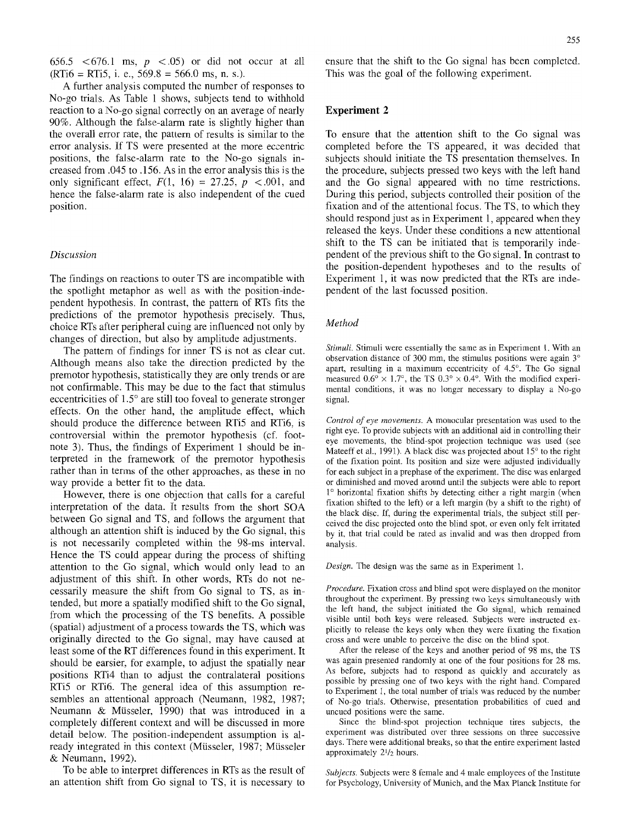656.5 <676.1 ms,  $p \leq 0.05$  or did not occur at all  $(RTi6 = RTi5, i. e., 569.8 = 566.0$  ms, n. s.).

A further analysis computed the number of responses to No-go trials. As Table 1 shows, subjects tend to withhold reaction to a No-go signal correctly on an average of nearly 90%. Although the false-alarm rate is slightly higher than the overall error rate, the pattern of results is similar to the error analysis. If TS were presented at the more eccentric positions, the false-alarm rate to the No-go signals increased from .045 to. 156. As in the error analysis this is the only significant effect,  $F(1, 16) = 27.25$ ,  $p < .001$ , and hence the false-alarm rate is also independent of the cued position.

#### *Discussion*

The findings on reactions to outer TS are incompatible with the spotlight metaphor as well as with the position-independent hypothesis. In contrast, the pattern of RTs fits the predictions of the premotor hypothesis precisely. Thus, choice RTs after peripheral cuing are influenced not only by changes of direction, but also by amplitude adjustments.

The pattern of findings for inner TS is not as clear cut. Although means also take the direction predicted by the premotor hypothesis, statistically they are only trends or are not confirmable. This may be due to the fact that stimulus eccentricities of  $1.5^\circ$  are still too foveal to generate stronger effects. On the other hand, the amplitude effect, which should produce the difference between RTi5 and RTi6, is controversial within the premotor hypothesis (cf. footnote 3). Thus, the findings of Experiment 1 should be interpreted in the framework of the premotor hypothesis rather than in terms of the other approaches, as these in no way provide a better fit to the data.

However, there is one objection that calls for a careful interpretation of the data. It results from the short SOA between Go signal and TS, and follows the argument that although an attention shift is induced by the Go signal, this is not necessarily completed within the 98-ms interval. Hence the TS could appear during the process of shifting attention to the Go signal, which would only lead to an adjustment of this shift. In other words, RTs do not necessarily measure the shift from Go signal to TS, as intended, but more a spatially modified shift to the Go signal, from which the processing of the TS benefits. A possible (spatial) adjustment of a process towards the TS, which was originally directed to the Go signal, may have caused at least some of the RT differences found in this experiment. It should be earsier, for example, to adjust the spatially near positions RTi4 than to adjust the contralateral positions RTi5 or RTi6. The general idea of this assumption resembles an attentional approach (Neumann, 1982, 1987; Neumann & Mfisseler, 1990) that was introduced in a completely different context and will be discussed in more detail below. The position-independent assumption is already integrated in this context (Müsseler, 1987; Müsseler & Neumann, 1992).

To be able to interpret differences in RTs as the result of an attention shift from Go signal to TS, it is necessary to ensure that the shift to the Go signal has been completed. This was the goal of the following experiment.

#### **Experiment 2**

To ensure that the attention shift to the Go signal was completed before the TS appeared, it was decided that subjects should initiate the TS presentation themselves. In the procedure, subjects pressed two keys with the left hand and the Go signal appeared with no time restrictions. During this period, subjects controlled their position of the fixation and of the attentional focus. The TS, to which they should respond just as in Experiment 1, appeared when they released the keys. Under these conditions a new attentional shift to the TS can be initiated that is temporarily independent of the previous shift to the Go signal. In contrast to the position-dependent hypotheses and to the results of Experiment 1, it was now predicted that the RTs are independent of the last focussed position.

#### *Method*

*Stimuli.* Stimuli were essentially the same as in Experiment 1. With an observation distance of 300 mm, the stimulus positions were again  $3^\circ$ apart, resulting in a maximum eccentricity of 4.5°. The Go signal measured  $0.6^{\circ} \times 1.7^{\circ}$ , the TS  $0.3^{\circ} \times 0.4^{\circ}$ . With the modified experimental conditions, it was no longer necessary to display a No-go signal.

*Control of eye movements.* A monocular presentation was used to the right eye. To provide subjects with an additional aid in controlling their eye movements, the blind-spot projection technique was used (see Mateeff et al., 1991). A black disc was projected about  $15^{\circ}$  to the right of the fixation point. Its position and size were adjusted individually for each subject in a prephase of the experiment. The disc was enlarged or diminished and moved around until the subjects were able to report 1° horizontal fixation shifts by detecting either a right margin (when fixation shifted to the left) or a left margin (by a shift to the right) of the black disc. If, during the experimental trials, the subject still perceived the disc projected onto the blind spot, or even only felt irritated by it, that trial could be rated as invalid and was then dropped from analysis.

*Design.* The design was the same as in Experiment I.

*Procedure.* Fixation cross and blind spot were displayed on the monitor throughout the experiment. By pressing two keys simultaneously with the left hand, the subject initiated the Go signal, which remained visible until both keys were released. Subjects were instructed explicitly to release the keys only when they were fixating the fixation cross and were unable to perceive the disc on the blind spot.

After the release of the keys and another period of 98 ms, the TS was again presented randomly at one of the four positions for 28 ms. As before, subjects had to respond as quickly and accurately as possible by pressing one of two keys with the right hand. Compared to Experiment 1, the total number of trials was reduced by the number of No-go trials. Otherwise, presentation probabilities of cued and uncued positions were the same.

Since the blind-spot projection technique tires subjects, the experiment was distributed over three sessions on three successive days. There were additional breaks, so that the entire experiment lasted approximately  $2\frac{1}{2}$  hours.

*Subjects.* Subjects were 8 female and 4 male employees of the Institute for Psychology, University of Munich, and the Max Planck Institute for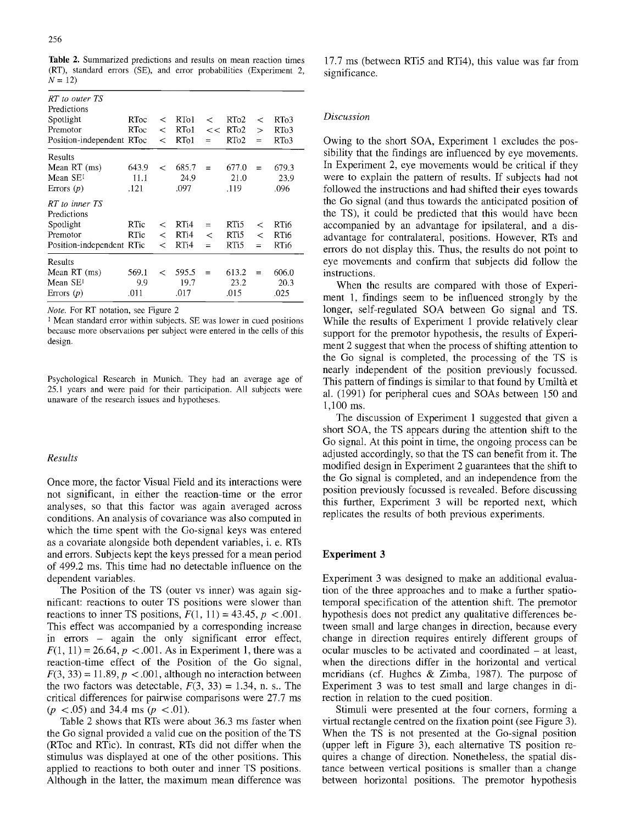Table 2. Summarized predictions and results on mean reaction times (RT), standard errors (SE), and error probabilities (Experiment 2,  $N = 12$ 

| RT to outer TS<br>Predictions<br>Spotlight<br>Premotor<br>Position-independent RToc | RToc<br>RToc          | $\,<\,$<br>$\lt$<br>$\lt$     | RT <sub>o</sub> 1<br>RT <sub>o</sub> 1<br>RT <sub>o1</sub> | $\,<\,$<br><<<br>$=$  | RT <sub>0</sub> 2<br>$R$ To <sub>2</sub><br>RT <sub>o</sub> 2 | ≺<br>$\gt$<br>$=$   | RTo3<br>RT <sub>0</sub> 3<br>RT <sub>0</sub> 3 |
|-------------------------------------------------------------------------------------|-----------------------|-------------------------------|------------------------------------------------------------|-----------------------|---------------------------------------------------------------|---------------------|------------------------------------------------|
| Results<br>Mean RT (ms)<br>Mean SE <sup>1</sup><br>Errors $(p)$                     | 643.9<br>11.1<br>.121 | $\,<\,$                       | 685.7<br>24.9<br>.097                                      | $=$                   | 677.0<br>21.0<br>.119                                         | $=$                 | 679.3<br>23.9<br>.096                          |
| RT to inner TS<br>Predictions<br>Spotlight<br>Premotor<br>Position-independent RTic | RTic<br>RTic          | $\,<\,$<br>$\,<\,$<br>$\,<\,$ | RT <sub>i</sub> 4<br>RT <sub>i</sub> 4<br>RTi4             | $=$<br>$\,<\,$<br>$=$ | RT <sub>15</sub><br>RT <sub>i5</sub><br>RT <sub>i5</sub>      | <<br>$\,<\,$<br>$=$ | RT <sub>i6</sub><br>RTi6<br>RTi6               |
| Results<br>Mean $RT$ (ms)<br>Mean SE <sup>1</sup><br>Errors $(p)$                   | 569.1<br>9.9<br>.011  | $\,<\,$                       | 595.5<br>19.7<br>.017                                      | $=$                   | 613.2<br>23.2<br>.015                                         | $=$                 | 606.0<br>20.3<br>.025                          |

*Note.* For RT notation, see Figure 2

1 Mean standard error within subjects. SE was lower in cued positions because more observations per subject were entered in the cells of this design.

Psychological Research in Munich. They had an average age of 25.1 years and were paid for their participation. All subjects were unaware of the research issues and hypotheses.

#### $Results$

Once more, the factor Visual Field and its interactions were not significant, in either the reaction-time or the error analyses, so that this factor was again averaged across conditions. An analysis of covariance was also computed in which the time spent with the Go-signal keys was entered as a covariate alongside both dependent variables, i. e. RTs and errors. Subjects kept the keys pressed for a mean period of 499.2 ms. This time had no detectable influence on the dependent variables.

The Position of the TS (outer vs inner) was again significant: reactions to outer TS positions were slower than reactions to inner TS positions,  $F(1, 11) = 43.45$ ,  $p < .001$ . This effect was accompanied by a corresponding increase in errors - again the only significant error effect,  $F(1, 11) = 26.64, p < .001$ . As in Experiment 1, there was a reaction-time effect of the Position of the Go signal,  $F(3, 33) = 11.89, p < .001$ , although no interaction between the two factors was detectable,  $F(3, 33) = 1.34$ , n. s.. The critical differences for pairwise comparisons were 27.7 ms  $(p < .05)$  and 34.4 ms  $(p < .01)$ .

Table 2 shows that RTs were about 36.3 ms faster when the Go signal provided a valid cue on the position of the TS (RToc and RTic). In contrast, RTs did not differ when the stimulus was displayed at one of the other positions. This applied to reactions to both outer and inner TS positions. Although in the latter, the maximum mean difference was

17.7 ms (between RTi5 and RTi4), this value was far from significance.

## *Discussion*

Owing to the short SOA, Experiment 1 excludes the possibility that the findings are influenced by eye movements. In Experiment 2, eye movements would be critical if they were to explain the pattern of results. If subjects had not followed the instructions and had shifted their eyes towards the Go signal (and thus towards the anticipated position of the TS), it could be predicted that this would have been accompanied by an advantage for ipsilateral, and a disadvantage for contralateral, positions. However, RTs and errors do not display this. Thus, the results do not point to eye movements and confirm that subjects did follow the instructions.

When the results are compared with those of Experiment 1, findings seem to be influenced strongly by the longer, self-regulated SOA between Go signal and TS. While the results of Experiment 1 provide relatively clear support for the premotor hypothesis, the results of Experiment 2 suggest that when the process of shifting attention to the Go signal is completed, the processing of the TS is nearly independent of the position previously focussed. This pattern of findings is similar to that found by Umiltà et al. (1991) for peripheral cues and SOAs between 150 and 1,100 ms.

The discussion of Experiment 1 suggested that given a short SOA, the TS appears during the attention shift to the Go signal. At this point in time, the ongoing process can be adjusted accordingly, so that the TS can benefit from it. The modified design in Experiment 2 guarantees that the shift to the Go signal is completed, and an independence from the position previously focussed is revealed. Before discussing this further, Experiment 3 will be reported next, which replicates the results of both previous experiments.

#### **Experiment 3**

Experiment 3 was designed to make an additional evaluation of the three approaches and to make a further spatiotemporal specification of the attention shift. The premotor hypothesis does not predict any qualitative differences between small and large changes in direction, because every change in direction requires entirely different groups of ocular muscles to be activated and coordinated - at least, when the directions differ in the horizontal and vertical meridians (cf. Hughes & Zimba, 1987). The purpose of Experiment 3 was to test small and large changes in direction in relation to the cued position.

Stimuli were presented at the four comers, forming a virtual rectangle centred on the fixation point (see Figure 3). When the TS is not presented at the Go-signal position (upper left in Figure 3), each alternative TS position requires a change of direction. Nonetheless, the spatial distance between vertical positions is smaller than a change between horizontal positions. The premotor hypothesis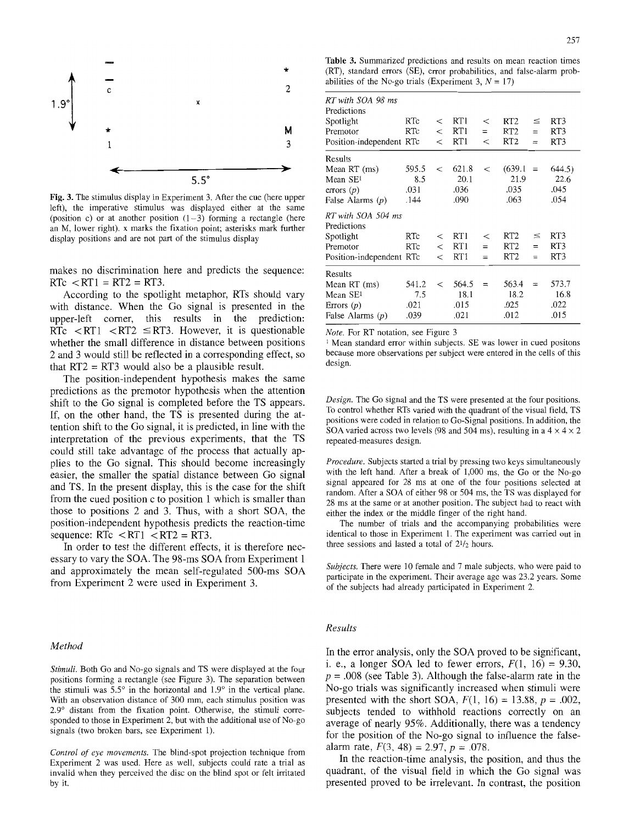

Fig. 3. The stimulus display in Experiment 3. After the cue (here upper left), the imperative gtimulus was displayed either at the same (position c) or at another position  $(1-3)$  forming a rectangle (here an M, lower right), x marks the fixation point; asterisks mark further display positions and are not part of the stimulus display

makes no discrimination here and predicts the sequence:  $RTc < RT1 = RT2 = RT3$ .

According to the spotlight metaphor, RTs should vary with distance. When the Go signal is presented in the upper-left comer, this results in the prediction: RTc  $\langle RT1 \rangle \langle RT3 \rangle$  = RT3. However, it is questionable whether the small difference in distance between positions 2 and 3 would still be reflected in a corresponding effect, so that  $RT2 = RT3$  would also be a plausible result.

The position-independent hypothesis makes the same predictions as the premotor hypothesis when the attention shift to the Go signal is completed before the TS appears. If, on the other hand, the TS is presented during the attention shift to the Go signal, it is predicted, in line with the interpretation of the previous experiments, that the TS could still take advantage of the process that actually applies to the Go signal. This should become increasingly easier, the smaller the spatial distance between Go signal and TS. In the present display, this is the case for the shift from the cued position c to position 1 which is smaller than those to positions 2 and 3. Thus, with a short SOA, the position-independent hypothesis predicts the reaction-time sequence:  $RTc < RT1 < RT2 = RT3$ .

In order to test the different effects, it is therefore necessary to vary the SOA. The 98-ms SOA from Experiment 1 and approximately the mean self-regulated 500-ms SOA from Experiment 2 were used in Experiment 3.

## *Method*

*Stimuli.* Both Go and No-go signals and TS were displayed at the four positions forming a rectangle (see Figure 3). The separation between the stimuli was  $5.5^{\circ}$  in the horizontal and  $1.9^{\circ}$  in the vertical plane. With an observation distance of 300 mm, each stimulus position was 2.9 ° distant from the fixation point. Otherwise, the stimuli corresponded to those in Experiment 2, but with the additional use of No-go signals (two broken bars, see Experiment 1).

*Control of eye movements.* The blind-spot projection technique from Experiment 2 was used. Here as well, subjects could rate a trial as invalid when they perceived the disc on the blind spot or felt irritated by it.

Table 3. Summarized predictions and results on mean reaction times (RT), standard errors (SE), error probabilities, and false-alarm probabilities of the No-go trials (Experiment 3,  $N = 17$ )

| RT with SOA 98 ms<br>Predictions<br>Spotlight<br>Premotor<br>Position-independent RTc  | RTc<br>RTc                   | $\,<\,$<br>$\,<\,$<br>$\,<\,$ | RTI<br>RT 1<br>RT1            | $\,<\,$<br>$=$<br>$\,<\,$ | RT <sub>2</sub><br>RT <sub>2</sub><br>RT <sub>2</sub> | $\leq$<br>$=$<br>$=$ | RT3<br>RT3<br>RT3              |
|----------------------------------------------------------------------------------------|------------------------------|-------------------------------|-------------------------------|---------------------------|-------------------------------------------------------|----------------------|--------------------------------|
| Results<br>Mean RT (ms)<br>Mean SE <sup>1</sup><br>errors $(p)$<br>False Alarms $(p)$  | 595.5<br>8.5<br>.031<br>.144 | $\,<\,$                       | 621.8<br>20.1<br>.036<br>.090 | $\,<\,$                   | (639.1)<br>21.9<br>.035<br>.063                       | $=$                  | 644.5)<br>22.6<br>.045<br>.054 |
| RT with SOA 504 ms<br>Predictions<br>Spotlight<br>Premotor<br>Position-independent RTc | RTc<br>RTc                   | $\,<\,$<br>$\,<\,$<br>$\,<\,$ | RT1<br>RT1<br>RT <sub>1</sub> | $\,<\,$<br>$=$<br>$=$     | RT <sub>2</sub><br>RT <sub>2</sub><br>RT <sub>2</sub> | $\leq$<br>$=$<br>$=$ | RT3<br>RT3<br>RT3              |
| Results<br>Mean RT (ms)<br>Mean SE <sup>1</sup><br>Errors $(p)$<br>False Alarms $(p)$  | 541.2<br>7.5<br>.021<br>.039 | $\,<\,$                       | 564.5<br>18.1<br>.015<br>.021 | $=$                       | 563.4<br>18.2<br>.025<br>.012                         | $=$                  | 573.7<br>16.8<br>.022<br>.015  |

*Note.* For RT notation, see Figure 3

<sup>1</sup> Mean standard error within subjects. SE was lower in cued positons because more observations per subject were entered in the cells of this design.

*Design.* The Go signal and the TS were presented at the four positions. To control whether RTs varied with the quadrant of the visual field, TS positions were coded in relation to Go-Signal positions. In addition, the SOA varied across two levels (98 and 504 ms), resulting in a  $4 \times 4 \times 2$ repeated-measures design.

*Procedure.* Subjects started a trial by pressing two keys simultaneously with the left hand. After a break of 1,000 ms, the Go or the No-go signal appeared for 28 ms at one of the four positions selected at random. After a SOA of either 98 or 504 ms, the TS was displayed for 28 ms at the same or at another position. The subject had to react with either the index or the middle finger of the right hand.

The number of trials and the accompanying probabilities were identical to those in Experiment 1. The experiment was carried out in three sessions and lasted a total of  $2\frac{1}{2}$  hours.

*Subjects.* There were 10 female and 7 male subjects, who were paid to participate in the experiment. Their average age was 23.2 years. Some of the subjects had already participated in Experiment 2.

#### $Results$

In the error analysis, only the SOA proved to be significant, i. e., a longer SOA led to fewer errors,  $F(1, 16) = 9.30$ ,  $p = 0.008$  (see Table 3). Although the false-alarm rate in the No-go trials was significantly increased when stimuli were presented with the short SOA,  $F(1, 16) = 13.88$ ,  $p = .002$ , subjects tended to withhold reactions correctly on an average of nearly 95%. Additionally, there was a tendency for the position of the No-go signal to influence the falsealarm rate,  $F(3, 48) = 2.97$ ,  $p = .078$ .

In the reaction-time analysis, the position, and thus the quadrant, of the visual field in which the Go signal was presented proved to be irrelevant. In contrast, the position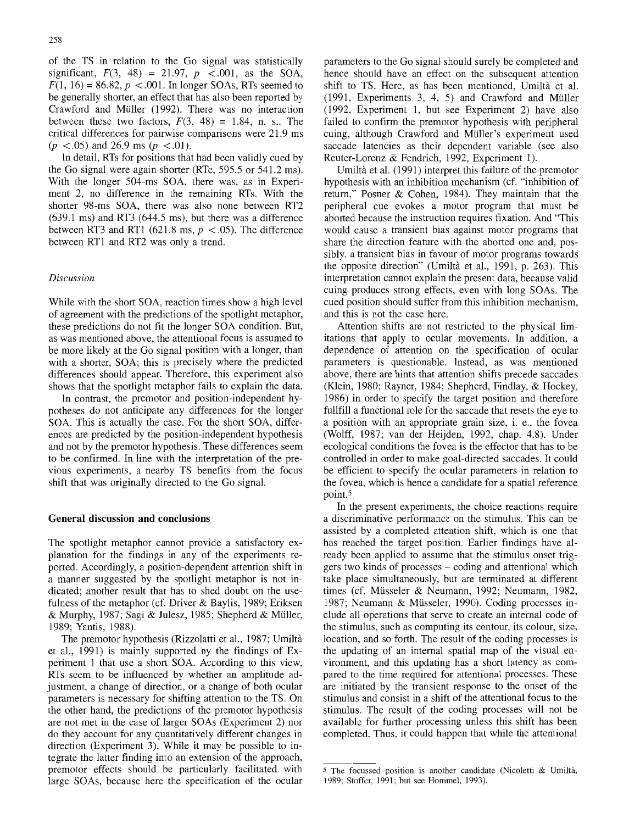of the TS in relation to the Go signal was statistically significant,  $F(3, 48) = 21.97$ ,  $p < .001$ , as the SOA,  $F(1, 16) = 86.82, p < .001$ . In longer SOAs, RTs seemed to be generally shorter, an effect that has also been reported by Crawford and Müller (1992). There was no interaction between these two factors,  $F(3, 48) = 1.84$ , n. s.. The critical differences for pairwise comparisons were 21.9 ms  $(p < .05)$  and 26.9 ms  $(p < .01)$ .

In detail, RTs for positions that had been validly cued by the Go signal were again shorter (RTc, 595.5 or 541.2 ms). With the longer 504-ms SOA, there was, as in Experiment 2, no difference in the remaining RTs. With the shorter 98-ms SOA, there was also none between RT2 (639.1 ms) and RT3 (644.5 ms), but there was a difference between RT3 and RT1 (621.8 ms,  $p < .05$ ). The difference between RT1 and RT2 was only a trend.

## *Discussion*

While with the short SOA, reaction times show a high level of agreement with the predictions of the spotlight metaphor, these predictions do not fit the longer SOA condition. But, as was mentioned above, the attentional focus is assumed to be more likely at the Go signal position with a longer, than with a shorter, SOA; this is precisely where the predicted differences should appear. Therefore, this experiment also shows that the spotlight metaphor fails to explain the data.

In contrast, the premotor and position-independent hypotheses do not anticipate any differences for the longer SOA. This is actually the case. For the short SOA, differences are predicted by the position-independent hypothesis and not by the premotor hypothesis. These differences seem to be confirmed. In line with the interpretation of the previous experiments, a nearby TS benefits from the focus shift that was originally directed to the Go signal.

#### **General discussion and conclusions**

The spotlight metaphor cannot provide a satisfactory explanation for the findings in any of the experiments reported. Accordingly, a position-dependent attention shift in a manner suggested by the spotlight metaphor is not indicated; another result that has to shed doubt on the usefulness of the metaphor (cf. Driver & Baylis, 1989; Eriksen & Murphy, 1987; Sagi & Julesz, 1985; Shepherd & Müller, 1989; Yantis, 1988).

The premotor hypothesis (Rizzolatti et al., 1987; Umiltà et al., 1991) is mainly supported by the findings of Experiment 1 that use a short SOA. According to this view, RTs seem to be influenced by whether an amplitude adjustment, a change of direction, or a change of both ocular parameters is necessary for shifting attention to the TS. On the other hand, the predictions of the premotor hypothesis are not met in the case of larger SOAs (Experiment 2) nor do they account for any quantitatively different changes in direction (Experiment 3). While it may be possible to integrate the latter finding into an extension of the approach, premotor effects should be particularly facilitated with large SOAs, because here the specification of the ocular

parameters to the Go signal should surely be completed and hence should have an effect on the subsequent attention shift to TS. Here, as has been mentioned, Umiltà et al.  $(1991,$  Experiments 3, 4, 5) and Crawford and Müller (1992, Experiment 1, but see Experiment 2) have also failed to confirm the premotor hypothesis with peripheral cuing, although Crawford and Müller's experiment used saccade latencies as their dependent variable (see also Reuter-Lorenz & Fendrich, 1992, Experiment 1).

Umiltà et al. (1991) interpret this failure of the premotor hypothesis with an inhibition mechanism (cf. "inhibition of return," Posner & Cohen, 1984). They maintain that the peripheral cue evokes a motor program that must be aborted because the instruction requires fixation. And "This would cause a transient bias against motor programs that share the direction feature with the aborted one and, possibly, a transient bias in favour of motor programs towards the opposite direction" (Umiltà et al., 1991, p. 263). This interpretation cannot explain the present data, because valid cuing produces strong effects, even with long SOAs. The cued position should suffer from this inhibition mechanism, and this is not the case here.

Attention shifts are not restricted to the physical limitations that apply to ocular movements. In addition, a dependence of attention on the specification of ocular parameters is questionable. Instead, as was mentioned above, there are hints that attention shifts precede saccades (Klein, 1980; Rayner, 1984; Shepherd, Findlay, & Hockey, 1986) in order to specify the target position and therefore fullfill a functional role for the saccade that resets the eye to a position with an appropriate grain size, i. e., the fovea (Wolff, 1987; van der Heijden, 1992, chap. 4.8). Under ecological conditions the fovea is the effector that has to be controlled in order to make goal-directed saccades. It could be efficient to specify the ocular parameters in relation to the fovea, which is hence a candidate for a spatial reference point. 5

In the present experiments, the choice reactions require a discriminative performance on the stimulus. This can be assisted by a completed attention shift, which is one that has reached the target position. Earlier findings have already been applied to assume that the stimulus onset triggers two kinds of processes - coding and attentional which take place simultaneously, but are terminated at different times (cf. Müsseler & Neumann, 1992; Neumann, 1982, 1987; Neumann & Müsseler, 1990). Coding processes include all operations that serve to create an internal code of the stimulus, such as computing its contour, its colour, size, location, and so forth. The result of the coding processes is the updating of an internal spatial map of the visual environment, and this updating has a short latency as compared to the time required for attentional processes. These are initiated by the transient response to the onset of the stimulus and consist in a shift of the attentional focus to the stimulus. The result of the coding processes will not be available for further processing unless this shift has been completed. Thus, it could happen that while the attentional

 $5$  The focussed position is another candidate (Nicoletti & Umiltà, 1989; Stoffer, 1991; but see Hommel, 1993).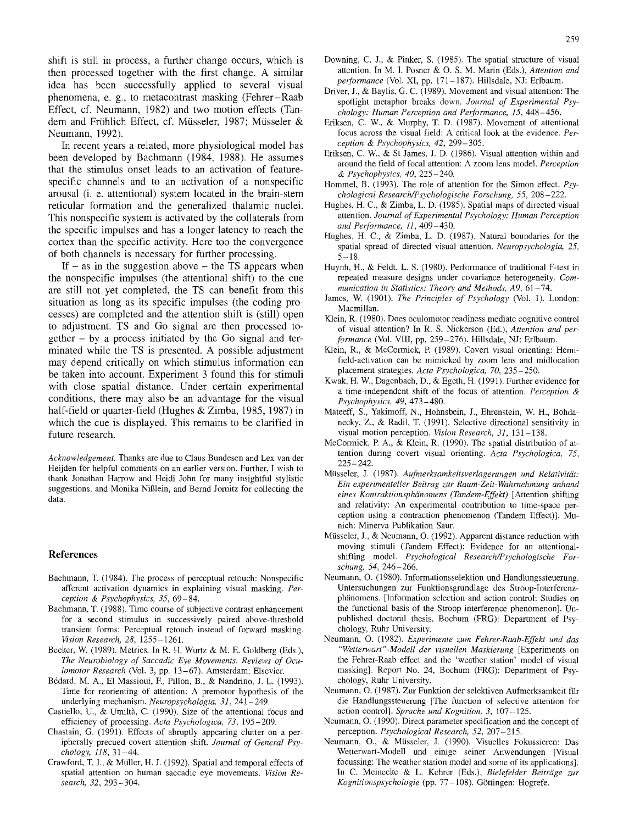shift is still in process, a further change occurs, which is then processed together with the first change. A similar idea has been successfully applied to several visual phenomena, e. g., to metacontrast masking (Fehrer-Raab Effect, cf. Neumann, 1982) and two motion effects (Tandem and Fröhlich Effect, cf. Müsseler, 1987; Müsseler & Neumann, 1992).

In recent years a related, more physiological model has been developed by Bachmann (1984, 1988). He assumes that the stimulus onset leads to an activation of featurespecific channels and to an activation of a nonspecific arousal (i. e. attentional) system located in the brain-stem reticular formation and the generalized thalamic nuclei. This nonspecific system is activated by the collaterals from the specific impulses and has a longer latency to reach the cortex than the specific activity. Here too the convergence of both channels is necessary for further processing.

If  $-$  as in the suggestion above  $-$  the TS appears when the nonspecific impulses (the attentional shift) to the cue are still not yet completed, the TS can benefit from this situation as long as its specific impulses (the coding processes) are completed and the attention shift is (still) open to adjustment. TS and Go signal are then processed to $gether - by a process initiated by the Go signal and ter$ minated while the TS is presented. A possible adjustment may depend critically on which stimulus information can be taken into account. Experiment 3 found this for stimuli with close spatial distance. Under certain experimental conditions, there may also be an advantage for the visual half-field or quarter-field (Hughes & Zimba, 1985, 1987) in which the cue is displayed. This remains to be clarified in future research.

*Acknowledgement.* Thanks are due to Claus Bundesen and Lex van der Heijden for helpful comments on an earlier version. Further, I wish to thank Jonathan Harrow and Heidi John for many insightful stylistic suggestions, and Monika Niglein, and Bernd Jornitz for collecting the data.

#### **References**

- Bachmann, T. (1984). The process of perceptual retouch: Nonspecific afferent activation dynamics in explaining visual masking. *Perception & Psychophysics, 35,* 69-84.
- Bachmann, T. (1988). Time course of subjective contrast enhancement for a second stimulus in successively paired above-threshold transient forms: Perceptual retouch instead of forward masking. *Vision Research, 28,* 1255-1261.
- Becker, W. (1989). Metrics. In R. H. Wurtz & M. E. Goldberg (Eds.), *The Neurobiology of Saccadic Eye Movements. Reviews of Oculomotor Research* (Vol. 3, pp. 13-67). Amsterdam: Elsevier.
- B6dard, M. A., E1 Massioui, E, Pillon, B., & Nandrino, J. L. (1993). Time for reorienting of attention: A premotor hypothesis of the underlying mechanism. *Neuropsychologia, 31,* 241-249.
- Castiello, U., & Umiltà, C. (1990). Size of the attentional focus and efficiency of processing. *Acta Psychologica, 73,* 195-209.
- Chastain, G. (1991). Effects of abruptly appearing clutter on a peripherally precued covert attention shift. *Journal of General Psychology, 118,* 31-44.
- Crawford, T. J., & Müller, H. J. (1992). Spatial and temporal effects of spatial attention on human saccadic eye movements. *Vision Research, 32,* 293-304.
- Downing, C. J., & Pinker, S. (1985). The spatial structure of visual attention. In M. I. Posner & O. S. M. Marin (Eds.), *Attention and performance* (Vol. XI, pp. 171-187). Hillsdale, NJ: Erlbaum.
- Driver, J., & Baylis, G. C. (1989). Movement and visual attention: The spotlight metaphor breaks down. *Journal of Experimental Psychology: Human Perception and Performance, 15,* 448-456.
- Eriksen, C. W., & Murphy, T. D. (1987). Movement of attentional focus across the visual field: A critical look at the evidence. *Perception & Psychophysics, 42,* 299-305.
- Eriksen, C. W., & St James, J. D. (1986). Visual attention within and around the field of focal attention: A zoom lens model. *Pereeption de Psychophysics, 40,* 225- 240.
- Hommel, B. (1993). The role of attention for the Simon effect. *Psychological Research/Psychologische Forschung, 55,* 208-222.
- Hughes, H. C., & Zimba, L. D. (1985). Spatial maps of directed visual attention. *Journal of Experimental Psychology: Human Perception and Performance, 11,409-430.*
- Hughes, H. C., & Zimba, L. D. (1987). Natural boundaries for the spatial spread of directed visual attention. *Neuropsychologia*, 25,  $5 - 18.$
- Huynh, H., & Feldt, L. S. (1980). Performance of traditional F-test in repeated measure designs under covariance heterogeneity. *Communication in Statistics: Theory and Methods, A9,* 61-74.
- James, W. (1901). *The Principles of Psychology* (Vol. 1). London: Macmillan.
- Klein, R. (1980). Does oculomotor readiness mediate cognitive control of visual attention? In R. S. Nickerson (Ed.), *Attention and performance* (Vol. VIII, pp. 259-276). Hillsdale, NJ: Erlbaum.
- Klein, R., & McCormick, R (1989). Covert visual orienting: Hemifield-activation can be mimicked by zoom lens and midlocation placement strategies. *Acre Psychologica, 70,* 235-250.
- Kwak, H. W., Dagenbach, D., & Egeth, H. (1991). Further evidence for a time-independent shift of the focus of attention. *Perception & Psychophysics, 49,* 473-480.
- Mateeff, S., Yakimoff, N., Hohnsbein, J., Ehrenstein, W. H., Bohdanecky, Z., & Radil, T. (1991). Selective directional sensitivity in visual motion perception. *Vision Research*, 31, 131-138.
- McCormick, E A., & Klein, R. (1990). The spatial distribution of attention during covert visual orienting. *Acta Psychologica, 75,*  225-242.
- Mfisseler, J. (1987). *Aufmerksamkeitsverlagerungen und Relativitiit: Ein experimenteller Beitrag zur Raum-Zeit-Wahrnehmung anhand eines Kontraktionsphiinomens (Tandem-Effekt)* [Attention shifting and relativity: An experimental contribution to time-space perception using a contraction phenomenon (Tandem Effect)]. Munich: Minerva Publikation Saur.
- Müsseler, J., & Neumann, O. (1992). Apparent distance reduction with moving stimuli (Tandem Effect): Evidence for an attentionalshifting model. *Psychological Reseamh/Psychologische Forschung, 54,* 246-266.
- Neumann, O. (1980). Informationsselektion und Handlungssteuerung. Untersuchungen zur Funktionsgrundlage des Stroop-Interferenzphänomens. [Information selection and action control: Studies on the functional basis of the Stroop interference phenomenon]. Unpublished doctoral thesis, Bochum (FRG): Department of Psychology, Ruhr University.
- Neumann, O. (1982). *Experimente zum Fehrer-Raab-Effekt und das "Wetterwart"-Modell der visuellen Maskierung* [Experiments on the Fehrer-Raab effect and the 'weather station' model of visual masking]. Report No. 24, Bochum (FRG): Department of Psychology, Ruhr University.
- Neumann, O. (1987). Zur Funktion der selektiven Aufmerksamkeit für die Handlungssteuerung [The function of selective attention for action control]. *Sprache und Kognition, 3,* 107-125.
- Neumann, O. (1990). Direct parameter specification and the concept of perception. *Psychological Research, 52,* 207-215.
- Neumann, O., & Mfisseler, J. (1990). Visuelles Fokussieren: Das Wetterwart-Modell und einige seiner Anwendungen [Visual focussing: The weather station model and some of its applications]. In C. Meinecke & L. Kehrer (Eds.), *Bielefelder Beitriige zur Kognitionspsychologie* (pp. 77-108). G6ttingen: Hogrefe.